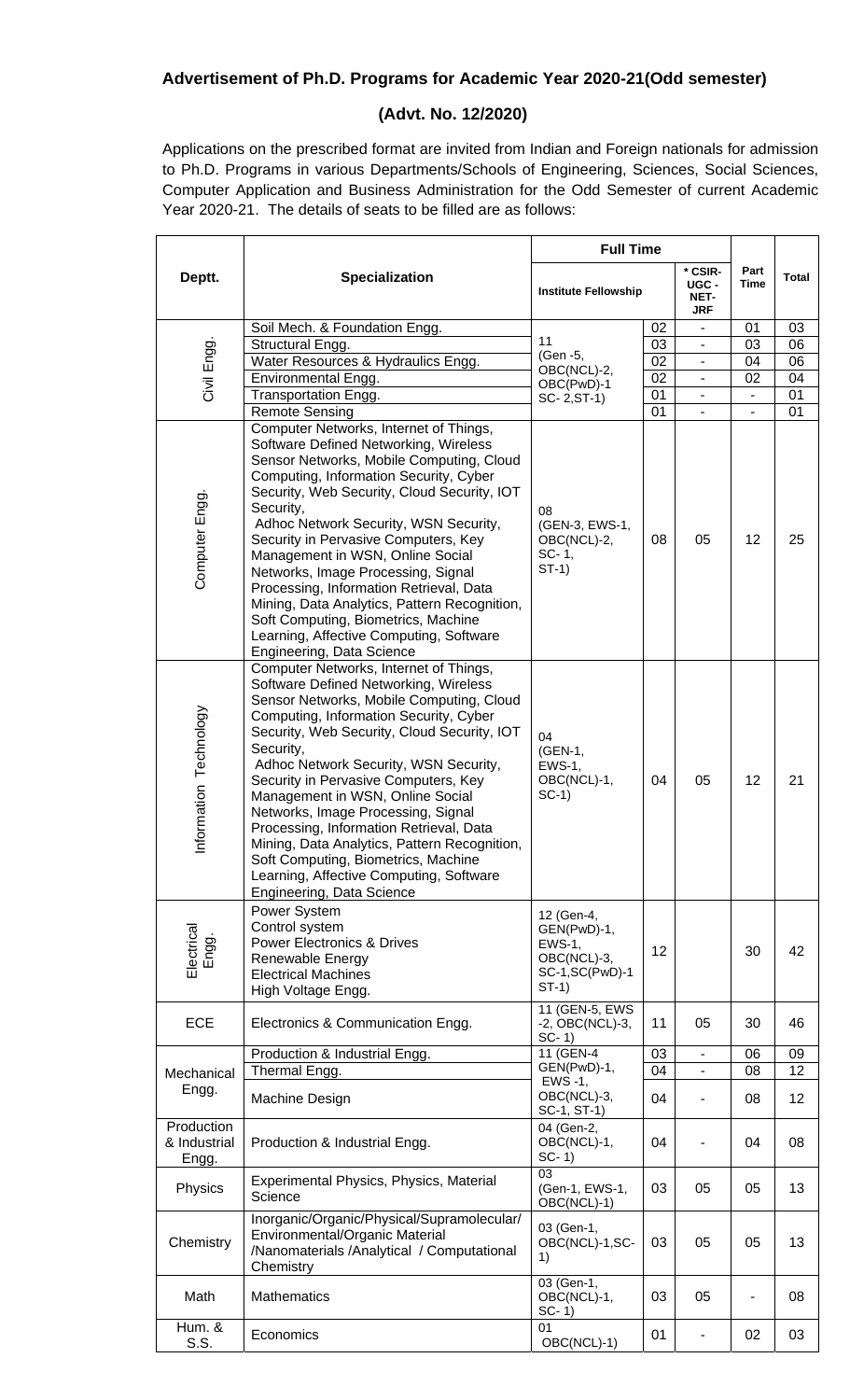## **Advertisement of Ph.D. Programs for Academic Year 2020-21(Odd semester)**

## **(Advt. No. 12/2020)**

Applications on the prescribed format are invited from Indian and Foreign nationals for admission to Ph.D. Programs in various Departments/Schools of Engineering, Sciences, Social Sciences, Computer Application and Business Administration for the Odd Semester of current Academic Year 2020-21. The details of seats to be filled are as follows:

|                                     | <b>Specialization</b>                                                                                                                                                                                                                                                                                                                                                                                                                                                                                                                                                                                  | <b>Full Time</b>                                                                    |    |                                        |              |              |
|-------------------------------------|--------------------------------------------------------------------------------------------------------------------------------------------------------------------------------------------------------------------------------------------------------------------------------------------------------------------------------------------------------------------------------------------------------------------------------------------------------------------------------------------------------------------------------------------------------------------------------------------------------|-------------------------------------------------------------------------------------|----|----------------------------------------|--------------|--------------|
| Deptt.                              |                                                                                                                                                                                                                                                                                                                                                                                                                                                                                                                                                                                                        | <b>Institute Fellowship</b>                                                         |    | * CSIR-<br>UGC -<br>NET-<br><b>JRF</b> | Part<br>Time | <b>Total</b> |
|                                     | Soil Mech. & Foundation Engg.                                                                                                                                                                                                                                                                                                                                                                                                                                                                                                                                                                          |                                                                                     | 02 |                                        | 01           | 03           |
| Civil Engg.                         | Structural Engg.                                                                                                                                                                                                                                                                                                                                                                                                                                                                                                                                                                                       | 11<br>(Gen -5,<br>OBC(NCL)-2,<br>OBC(PwD)-1                                         | 03 |                                        | 03           | 06           |
|                                     | Water Resources & Hydraulics Engg.                                                                                                                                                                                                                                                                                                                                                                                                                                                                                                                                                                     |                                                                                     | 02 |                                        | 04           | 06           |
|                                     | Environmental Engg.                                                                                                                                                                                                                                                                                                                                                                                                                                                                                                                                                                                    |                                                                                     | 02 |                                        | 02           | 04           |
|                                     | Transportation Engg.                                                                                                                                                                                                                                                                                                                                                                                                                                                                                                                                                                                   | SC-2, ST-1)                                                                         | 01 |                                        |              | 01           |
|                                     | <b>Remote Sensing</b>                                                                                                                                                                                                                                                                                                                                                                                                                                                                                                                                                                                  |                                                                                     | 01 |                                        |              | 01           |
| Computer Engg.                      | Computer Networks, Internet of Things,<br>Software Defined Networking, Wireless<br>Sensor Networks, Mobile Computing, Cloud<br>Computing, Information Security, Cyber<br>Security, Web Security, Cloud Security, IOT<br>Security,<br>Adhoc Network Security, WSN Security,<br>Security in Pervasive Computers, Key<br>Management in WSN, Online Social<br>Networks, Image Processing, Signal<br>Processing, Information Retrieval, Data<br>Mining, Data Analytics, Pattern Recognition,<br>Soft Computing, Biometrics, Machine<br>Learning, Affective Computing, Software<br>Engineering, Data Science | 08<br>(GEN-3, EWS-1,<br>OBC(NCL)-2,<br>SC-1,<br>$ST-1)$                             | 08 | 05                                     | 12           | 25           |
| Information Technology              | Computer Networks, Internet of Things,<br>Software Defined Networking, Wireless<br>Sensor Networks, Mobile Computing, Cloud<br>Computing, Information Security, Cyber<br>Security, Web Security, Cloud Security, IOT<br>Security,<br>Adhoc Network Security, WSN Security,<br>Security in Pervasive Computers, Key<br>Management in WSN, Online Social<br>Networks, Image Processing, Signal<br>Processing, Information Retrieval, Data<br>Mining, Data Analytics, Pattern Recognition,<br>Soft Computing, Biometrics, Machine<br>Learning, Affective Computing, Software<br>Engineering, Data Science | 04<br>(GEN-1,<br>$EWS-1$ ,<br>OBC(NCL)-1,<br>$SC-1)$                                | 04 | 05                                     | 12           | 21           |
| Electrical<br>Engg.                 | Power System<br>Control system<br><b>Power Electronics &amp; Drives</b><br>Renewable Energy<br><b>Electrical Machines</b><br>High Voltage Engg.                                                                                                                                                                                                                                                                                                                                                                                                                                                        | 12 (Gen-4,<br>GEN(PwD)-1,<br>$EWS-1$ ,<br>OBC(NCL)-3,<br>SC-1, SC(PwD)-1<br>$ST-1)$ | 12 |                                        | 30           | 42           |
| <b>ECE</b>                          | Electronics & Communication Engg.                                                                                                                                                                                                                                                                                                                                                                                                                                                                                                                                                                      | 11 (GEN-5, EWS<br>-2, OBC(NCL)-3,<br>$SC-1$                                         | 11 | 05                                     | 30           | 46           |
| Mechanical<br>Engg.                 | Production & Industrial Engg.                                                                                                                                                                                                                                                                                                                                                                                                                                                                                                                                                                          | 11 (GEN-4<br>GEN(PwD)-1,                                                            | 03 |                                        | 06           | 09           |
|                                     | Thermal Engg.                                                                                                                                                                                                                                                                                                                                                                                                                                                                                                                                                                                          | EWS -1,                                                                             | 04 |                                        | 08           | 12           |
|                                     | Machine Design                                                                                                                                                                                                                                                                                                                                                                                                                                                                                                                                                                                         | OBC(NCL)-3,<br>SC-1, ST-1)                                                          | 04 |                                        | 08           | 12           |
| Production<br>& Industrial<br>Engg. | Production & Industrial Engg.                                                                                                                                                                                                                                                                                                                                                                                                                                                                                                                                                                          | 04 (Gen-2,<br>OBC(NCL)-1,<br>$SC-1$                                                 | 04 | ä,                                     | 04           | 08           |
| Physics                             | Experimental Physics, Physics, Material<br>Science                                                                                                                                                                                                                                                                                                                                                                                                                                                                                                                                                     | 03<br>(Gen-1, EWS-1,<br>OBC(NCL)-1)                                                 | 03 | 05                                     | 05           | 13           |
| Chemistry                           | Inorganic/Organic/Physical/Supramolecular/<br>Environmental/Organic Material<br>/Nanomaterials /Analytical / Computational<br>Chemistry                                                                                                                                                                                                                                                                                                                                                                                                                                                                | 03 (Gen-1,<br>OBC(NCL)-1,SC-<br>1)                                                  | 03 | 05                                     | 05           | 13           |
| Math                                | <b>Mathematics</b>                                                                                                                                                                                                                                                                                                                                                                                                                                                                                                                                                                                     | 03 (Gen-1,<br>OBC(NCL)-1,<br>$SC-1$                                                 | 03 | 05                                     |              | 08           |
| Hum. &<br>S.S.                      | Economics                                                                                                                                                                                                                                                                                                                                                                                                                                                                                                                                                                                              | 01<br>OBC(NCL)-1)                                                                   | 01 | $\overline{\phantom{m}}$               | 02           | 03           |